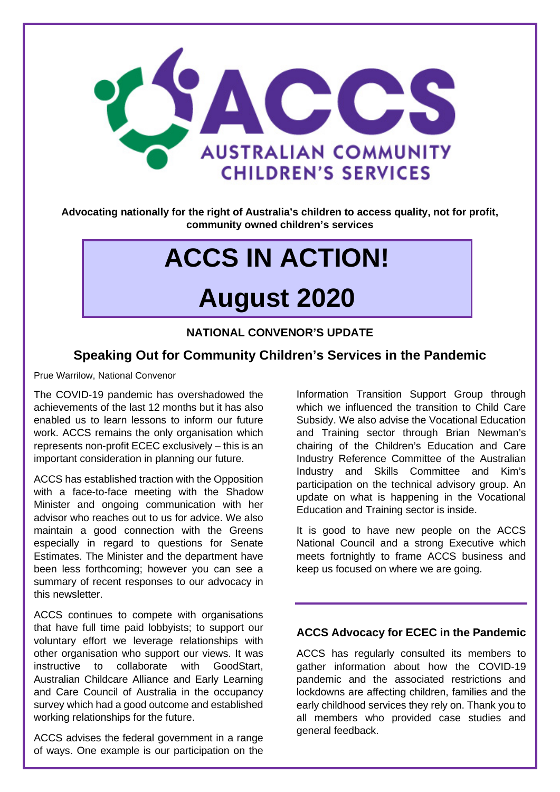

**Advocating nationally for the right of Australia's children to access quality, not for profit, community owned children's services**

# **ACCS IN ACTION!**

## **August 2020**

#### **NATIONAL CONVENOR'S UPDATE**

#### **Speaking Out for Community Children's Services in the Pandemic**

Prue Warrilow, National Convenor

The COVID-19 pandemic has overshadowed the achievements of the last 12 months but it has also enabled us to learn lessons to inform our future work. ACCS remains the only organisation which represents non-profit ECEC exclusively – this is an important consideration in planning our future.

ACCS has established traction with the Opposition with a face-to-face meeting with the Shadow Minister and ongoing communication with her advisor who reaches out to us for advice. We also maintain a good connection with the Greens especially in regard to questions for Senate Estimates. The Minister and the department have been less forthcoming; however you can see a summary of recent responses to our advocacy in this newsletter.

ACCS continues to compete with organisations that have full time paid lobbyists; to support our voluntary effort we leverage relationships with other organisation who support our views. It was instructive to collaborate with GoodStart, Australian Childcare Alliance and Early Learning and Care Council of Australia in the occupancy survey which had a good outcome and established working relationships for the future.

ACCS advises the federal government in a range of ways. One example is our participation on the

Information Transition Support Group through which we influenced the transition to Child Care Subsidy. We also advise the Vocational Education and Training sector through Brian Newman's chairing of the Children's Education and Care Industry Reference Committee of the Australian Industry and Skills Committee and Kim's participation on the technical advisory group. An update on what is happening in the Vocational Education and Training sector is inside.

It is good to have new people on the ACCS National Council and a strong Executive which meets fortnightly to frame ACCS business and keep us focused on where we are going.

#### **ACCS Advocacy for ECEC in the Pandemic**

ACCS has regularly consulted its members to gather information about how the COVID-19 pandemic and the associated restrictions and lockdowns are affecting children, families and the early childhood services they rely on. Thank you to all members who provided case studies and general feedback.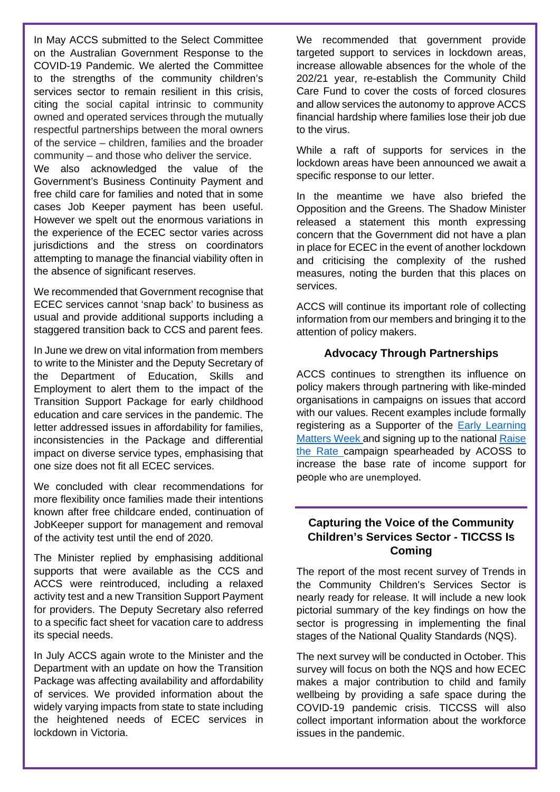In May ACCS submitted to the Select Committee on the Australian Government Response to the COVID-19 Pandemic. We alerted the Committee to the strengths of the community children's services sector to remain resilient in this crisis, citing the social capital intrinsic to community owned and operated services through the mutually respectful partnerships between the moral owners of the service – children, families and the broader community – and those who deliver the service.

We also acknowledged the value of the Government's Business Continuity Payment and free child care for families and noted that in some cases Job Keeper payment has been useful. However we spelt out the enormous variations in the experience of the ECEC sector varies across jurisdictions and the stress on coordinators attempting to manage the financial viability often in the absence of significant reserves.

We recommended that Government recognise that ECEC services cannot 'snap back' to business as usual and provide additional supports including a staggered transition back to CCS and parent fees.

In June we drew on vital information from members to write to the Minister and the Deputy Secretary of the Department of Education, Skills and Employment to alert them to the impact of the Transition Support Package for early childhood education and care services in the pandemic. The letter addressed issues in affordability for families, inconsistencies in the Package and differential impact on diverse service types, emphasising that one size does not fit all ECEC services.

We concluded with clear recommendations for more flexibility once families made their intentions known after free childcare ended, continuation of JobKeeper support for management and removal of the activity test until the end of 2020.

The Minister replied by emphasising additional supports that were available as the CCS and ACCS were reintroduced, including a relaxed activity test and a new Transition Support Payment for providers. The Deputy Secretary also referred to a specific fact sheet for vacation care to address its special needs.

In July ACCS again wrote to the Minister and the Department with an update on how the Transition Package was affecting availability and affordability of services. We provided information about the widely varying impacts from state to state including the heightened needs of ECEC services in lockdown in Victoria.

We recommended that government provide targeted support to services in lockdown areas, increase allowable absences for the whole of the 202/21 year, re-establish the Community Child Care Fund to cover the costs of forced closures and allow services the autonomy to approve ACCS financial hardship where families lose their job due to the virus.

While a raft of supports for services in the lockdown areas have been announced we await a specific response to our letter.

In the meantime we have also briefed the Opposition and the Greens. The Shadow Minister released a statement this month expressing concern that the Government did not have a plan in place for ECEC in the event of another lockdown and criticising the complexity of the rushed measures, noting the burden that this places on services.

ACCS will continue its important role of collecting information from our members and bringing it to the attention of policy makers.

#### **Advocacy Through Partnerships**

ACCS continues to strengthen its influence on policy makers through partnering with like-minded organisations in campaigns on issues that accord with our values. Recent examples include formally registering as a Supporter of the [Early Learning](https://www.earlylearningmatters.org.au/)  [Matters Week a](https://www.earlylearningmatters.org.au/)nd signing up to the national [Raise](https://raisetherate.org.au/)  [the Rate c](https://raisetherate.org.au/)ampaign spearheaded by ACOSS to increase the base rate of income support for people who are unemployed.

#### **Capturing the Voice of the Community Children's Services Sector - TICCSS Is Coming**

The report of the most recent survey of Trends in the Community Children's Services Sector is nearly ready for release. It will include a new look pictorial summary of the key findings on how the sector is progressing in implementing the final stages of the National Quality Standards (NQS).

The next survey will be conducted in October. This survey will focus on both the NQS and how ECEC makes a major contribution to child and family wellbeing by providing a safe space during the COVID-19 pandemic crisis. TICCSS will also collect important information about the workforce issues in the pandemic.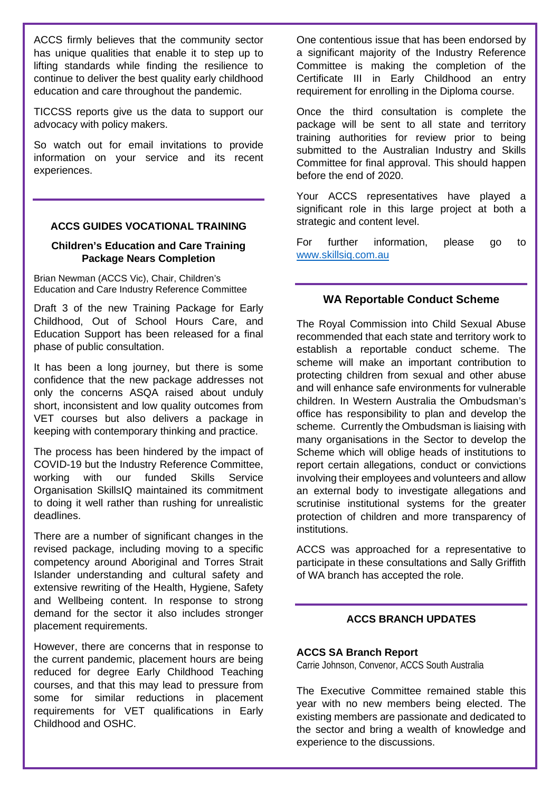ACCS firmly believes that the community sector has unique qualities that enable it to step up to lifting standards while finding the resilience to continue to deliver the best quality early childhood education and care throughout the pandemic.

TICCSS reports give us the data to support our advocacy with policy makers.

So watch out for email invitations to provide information on your service and its recent experiences.

#### **ACCS GUIDES VOCATIONAL TRAINING**

#### **Children's Education and Care Training Package Nears Completion**

Brian Newman (ACCS Vic), Chair, Children's Education and Care Industry Reference Committee

Draft 3 of the new Training Package for Early Childhood, Out of School Hours Care, and Education Support has been released for a final phase of public consultation.

It has been a long journey, but there is some confidence that the new package addresses not only the concerns ASQA raised about unduly short, inconsistent and low quality outcomes from VET courses but also delivers a package in keeping with contemporary thinking and practice.

The process has been hindered by the impact of COVID-19 but the Industry Reference Committee, working with our funded Skills Service Organisation SkillsIQ maintained its commitment to doing it well rather than rushing for unrealistic deadlines.

There are a number of significant changes in the revised package, including moving to a specific competency around Aboriginal and Torres Strait Islander understanding and cultural safety and extensive rewriting of the Health, Hygiene, Safety and Wellbeing content. In response to strong demand for the sector it also includes stronger placement requirements.

However, there are concerns that in response to the current pandemic, placement hours are being reduced for degree Early Childhood Teaching courses, and that this may lead to pressure from some for similar reductions in placement requirements for VET qualifications in Early Childhood and OSHC.

One contentious issue that has been endorsed by a significant majority of the Industry Reference Committee is making the completion of the Certificate III in Early Childhood an entry requirement for enrolling in the Diploma course.

Once the third consultation is complete the package will be sent to all state and territory training authorities for review prior to being submitted to the Australian Industry and Skills Committee for final approval. This should happen before the end of 2020.

Your ACCS representatives have played a significant role in this large project at both a strategic and content level.

For further information, please go to [www.skillsiq.com.au](http://www.skillsiq.com.au/)

#### **WA Reportable Conduct Scheme**

The Royal Commission into Child Sexual Abuse recommended that each state and territory work to establish a reportable conduct scheme. The scheme will make an important contribution to protecting children from sexual and other abuse and will enhance safe environments for vulnerable children. In Western Australia the Ombudsman's office has responsibility to plan and develop the scheme. Currently the Ombudsman is liaising with many organisations in the Sector to develop the Scheme which will oblige heads of institutions to report certain allegations, conduct or convictions involving their employees and volunteers and allow an external body to investigate allegations and scrutinise institutional systems for the greater protection of children and more transparency of institutions.

ACCS was approached for a representative to participate in these consultations and Sally Griffith of WA branch has accepted the role.

#### **ACCS BRANCH UPDATES**

#### **ACCS SA Branch Report**

Carrie Johnson, Convenor, ACCS South Australia

The Executive Committee remained stable this year with no new members being elected. The existing members are passionate and dedicated to the sector and bring a wealth of knowledge and experience to the discussions.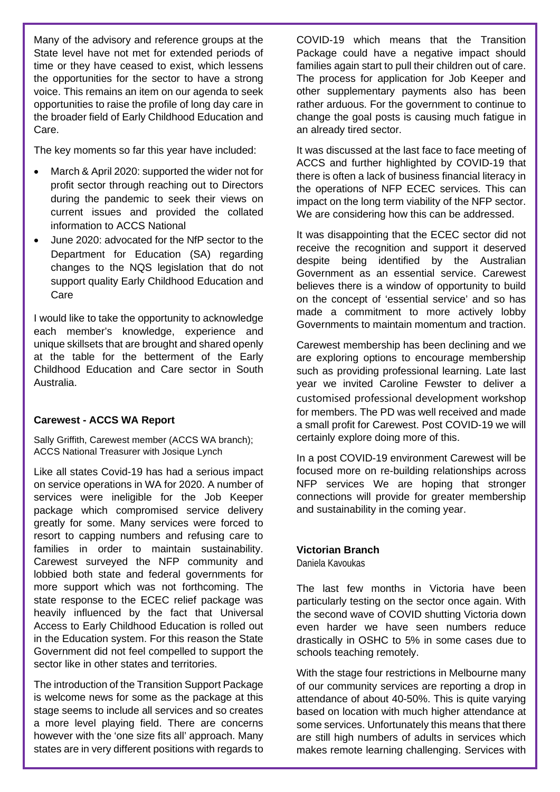Many of the advisory and reference groups at the State level have not met for extended periods of time or they have ceased to exist, which lessens the opportunities for the sector to have a strong voice. This remains an item on our agenda to seek opportunities to raise the profile of long day care in the broader field of Early Childhood Education and Care.

The key moments so far this year have included:

- March & April 2020: supported the wider not for profit sector through reaching out to Directors during the pandemic to seek their views on current issues and provided the collated information to ACCS National
- June 2020: advocated for the NfP sector to the Department for Education (SA) regarding changes to the NQS legislation that do not support quality Early Childhood Education and Care

I would like to take the opportunity to acknowledge each member's knowledge, experience and unique skillsets that are brought and shared openly at the table for the betterment of the Early Childhood Education and Care sector in South Australia.

#### **Carewest - ACCS WA Report**

Sally Griffith, Carewest member (ACCS WA branch); ACCS National Treasurer with Josique Lynch

Like all states Covid-19 has had a serious impact on service operations in WA for 2020. A number of services were ineligible for the Job Keeper package which compromised service delivery greatly for some. Many services were forced to resort to capping numbers and refusing care to families in order to maintain sustainability. Carewest surveyed the NFP community and lobbied both state and federal governments for more support which was not forthcoming. The state response to the ECEC relief package was heavily influenced by the fact that Universal Access to Early Childhood Education is rolled out in the Education system. For this reason the State Government did not feel compelled to support the sector like in other states and territories.

The introduction of the Transition Support Package is welcome news for some as the package at this stage seems to include all services and so creates a more level playing field. There are concerns however with the 'one size fits all' approach. Many states are in very different positions with regards to

COVID-19 which means that the Transition Package could have a negative impact should families again start to pull their children out of care. The process for application for Job Keeper and other supplementary payments also has been rather arduous. For the government to continue to change the goal posts is causing much fatigue in an already tired sector.

It was discussed at the last face to face meeting of ACCS and further highlighted by COVID-19 that there is often a lack of business financial literacy in the operations of NFP ECEC services. This can impact on the long term viability of the NFP sector. We are considering how this can be addressed.

It was disappointing that the ECEC sector did not receive the recognition and support it deserved despite being identified by the Australian Government as an essential service. Carewest believes there is a window of opportunity to build on the concept of 'essential service' and so has made a commitment to more actively lobby Governments to maintain momentum and traction.

Carewest membership has been declining and we are exploring options to encourage membership such as providing professional learning. Late last year we invited Caroline Fewster to deliver a customised professional development workshop for members. The PD was well received and made a small profit for Carewest. Post COVID-19 we will certainly explore doing more of this.

In a post COVID-19 environment Carewest will be focused more on re-building relationships across NFP services We are hoping that stronger connections will provide for greater membership and sustainability in the coming year.

#### **Victorian Branch**

Daniela Kavoukas

The last few months in Victoria have been particularly testing on the sector once again. With the second wave of COVID shutting Victoria down even harder we have seen numbers reduce drastically in OSHC to 5% in some cases due to schools teaching remotely.

With the stage four restrictions in Melbourne many of our community services are reporting a drop in attendance of about 40-50%. This is quite varying based on location with much higher attendance at some services. Unfortunately this means that there are still high numbers of adults in services which makes remote learning challenging. Services with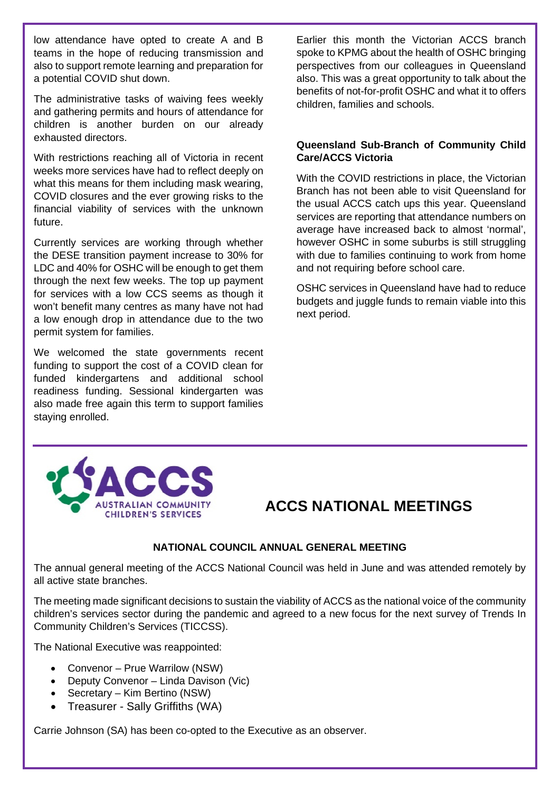low attendance have opted to create A and B teams in the hope of reducing transmission and also to support remote learning and preparation for a potential COVID shut down.

The administrative tasks of waiving fees weekly and gathering permits and hours of attendance for children is another burden on our already exhausted directors.

With restrictions reaching all of Victoria in recent weeks more services have had to reflect deeply on what this means for them including mask wearing, COVID closures and the ever growing risks to the financial viability of services with the unknown future.

Currently services are working through whether the DESE transition payment increase to 30% for LDC and 40% for OSHC will be enough to get them through the next few weeks. The top up payment for services with a low CCS seems as though it won't benefit many centres as many have not had a low enough drop in attendance due to the two permit system for families.

We welcomed the state governments recent funding to support the cost of a COVID clean for funded kindergartens and additional school readiness funding. Sessional kindergarten was also made free again this term to support families staying enrolled.

Earlier this month the Victorian ACCS branch spoke to KPMG about the health of OSHC bringing perspectives from our colleagues in Queensland also. This was a great opportunity to talk about the benefits of not-for-profit OSHC and what it to offers children, families and schools.

#### **Queensland Sub-Branch of Community Child Care/ACCS Victoria**

With the COVID restrictions in place, the Victorian Branch has not been able to visit Queensland for the usual ACCS catch ups this year. Queensland services are reporting that attendance numbers on average have increased back to almost 'normal', however OSHC in some suburbs is still struggling with due to families continuing to work from home and not requiring before school care.

OSHC services in Queensland have had to reduce budgets and juggle funds to remain viable into this next period.



### **ACCS NATIONAL MEETINGS**

#### **NATIONAL COUNCIL ANNUAL GENERAL MEETING**

The annual general meeting of the ACCS National Council was held in June and was attended remotely by all active state branches.

The meeting made significant decisions to sustain the viability of ACCS as the national voice of the community children's services sector during the pandemic and agreed to a new focus for the next survey of Trends In Community Children's Services (TICCSS).

The National Executive was reappointed:

- Convenor Prue Warrilow (NSW)
- Deputy Convenor Linda Davison (Vic)
- Secretary Kim Bertino (NSW)
- Treasurer Sally Griffiths (WA)

Carrie Johnson (SA) has been co-opted to the Executive as an observer.